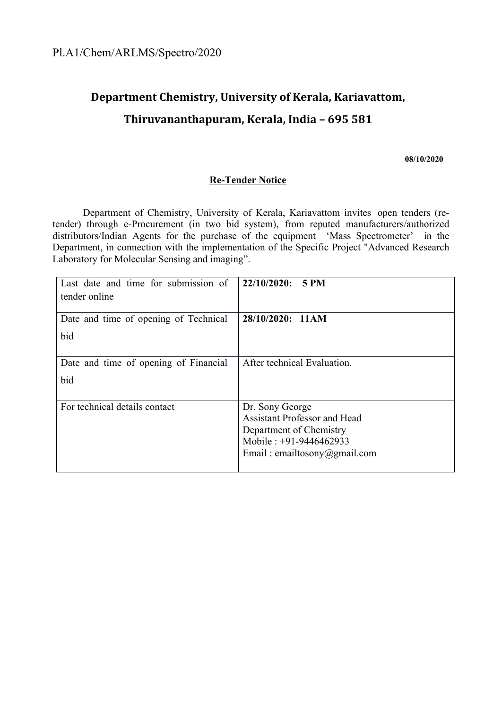# **Department Chemistry, University of Kerala, Kariavattom, Thiruvananthapuram, Kerala, India – 695 581**

**08/10/2020**

#### **Re-Tender Notice**

Department of Chemistry, University of Kerala, Kariavattom invites open tenders (retender) through e-Procurement (in two bid system), from reputed manufacturers/authorized distributors/Indian Agents for the purchase of the equipment 'Mass Spectrometer' in the Department, in connection with the implementation of the Specific Project "Advanced Research Laboratory for Molecular Sensing and imaging".

| Last date and time for submission of  | 22/10/2020:<br><b>5 PM</b>                                     |
|---------------------------------------|----------------------------------------------------------------|
| tender online                         |                                                                |
| Date and time of opening of Technical | 28/10/2020: 11AM                                               |
| bid                                   |                                                                |
| Date and time of opening of Financial | After technical Evaluation.                                    |
| bid                                   |                                                                |
|                                       |                                                                |
| For technical details contact         | Dr. Sony George                                                |
|                                       | <b>Assistant Professor and Head</b><br>Department of Chemistry |
|                                       | Mobile: +91-9446462933                                         |
|                                       | Email: emailtosony@gmail.com                                   |
|                                       |                                                                |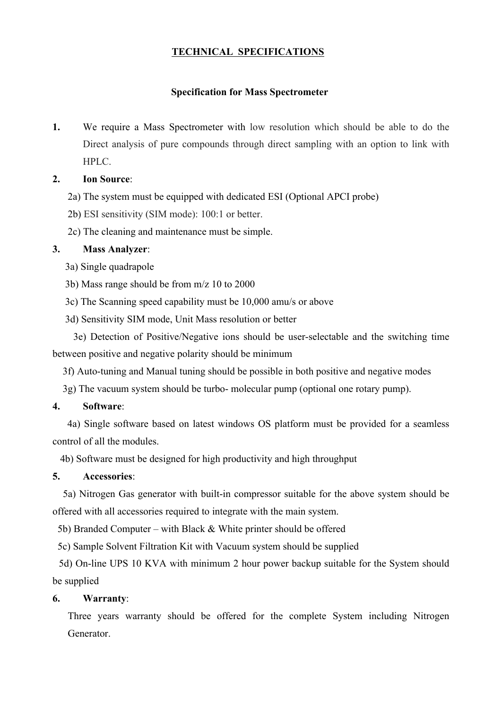# **TECHNICAL SPECIFICATIONS**

#### **Specification for Mass Spectrometer**

**1.** We require a Mass Spectrometer with low resolution which should be able to do the Direct analysis of pure compounds through direct sampling with an option to link with HPLC.

### **2. Ion Source**:

2a) The system must be equipped with dedicated ESI (Optional APCI probe)

2b) ESI sensitivity (SIM mode): 100:1 or better.

2c) The cleaning and maintenance must be simple.

#### **3. Mass Analyzer**:

- 3a) Single quadrapole
- 3b) Mass range should be from m/z 10 to 2000
- 3c) The Scanning speed capability must be 10,000 amu/s or above
- 3d) Sensitivity SIM mode, Unit Mass resolution or better

3e) Detection of Positive/Negative ions should be user-selectable and the switching time between positive and negative polarity should be minimum

3f) Auto-tuning and Manual tuning should be possible in both positive and negative modes

3g) The vacuum system should be turbo- molecular pump (optional one rotary pump).

#### **4. Software**:

4a) Single software based on latest windows OS platform must be provided for a seamless control of all the modules.

4b) Software must be designed for high productivity and high throughput

#### **5. Accessories**:

5a) Nitrogen Gas generator with built-in compressor suitable for the above system should be offered with all accessories required to integrate with the main system.

5b) Branded Computer – with Black & White printer should be offered

5c) Sample Solvent Filtration Kit with Vacuum system should be supplied

5d) On-line UPS 10 KVA with minimum 2 hour power backup suitable for the System should be supplied

#### **6. Warranty**:

Three years warranty should be offered for the complete System including Nitrogen Generator.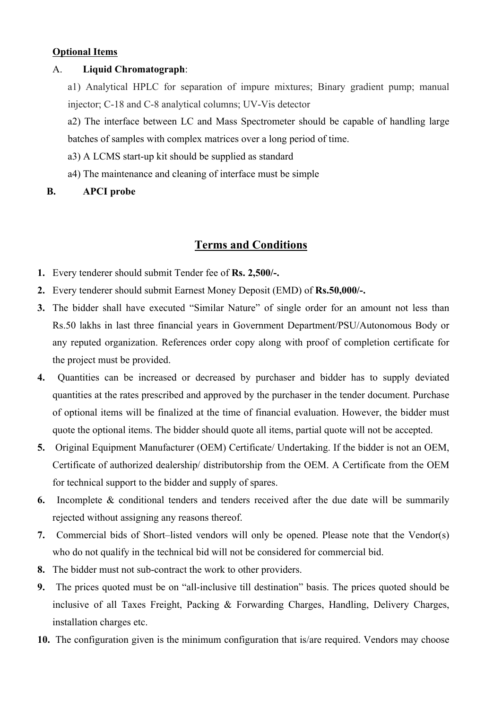# **Optional Items**

#### A. **Liquid Chromatograph**:

a1) Analytical HPLC for separation of impure mixtures; Binary gradient pump; manual injector; C-18 and C-8 analytical columns; UV-Vis detector

a2) The interface between LC and Mass Spectrometer should be capable of handling large batches of samples with complex matrices over a long period of time.

- a3) A LCMS start-up kit should be supplied as standard
- a4) The maintenance and cleaning of interface must be simple
- **B. APCI probe**

# **Terms and Conditions**

- **1.** Every tenderer should submit Tender fee of **Rs. 2,500/-.**
- **2.** Every tenderer should submit Earnest Money Deposit (EMD) of **Rs.50,000/-.**
- **3.** The bidder shall have executed "Similar Nature" of single order for an amount not less than Rs.50 lakhs in last three financial years in Government Department/PSU/Autonomous Body or any reputed organization. References order copy along with proof of completion certificate for the project must be provided.
- **4.** Quantities can be increased or decreased by purchaser and bidder has to supply deviated quantities at the rates prescribed and approved by the purchaser in the tender document. Purchase of optional items will be finalized at the time of financial evaluation. However, the bidder must quote the optional items. The bidder should quote all items, partial quote will not be accepted.
- **5.** Original Equipment Manufacturer (OEM) Certificate/ Undertaking. If the bidder is not an OEM, Certificate of authorized dealership/ distributorship from the OEM. A Certificate from the OEM for technical support to the bidder and supply of spares.
- **6.** Incomplete & conditional tenders and tenders received after the due date will be summarily rejected without assigning any reasons thereof.
- **7.** Commercial bids of Short–listed vendors will only be opened. Please note that the Vendor(s) who do not qualify in the technical bid will not be considered for commercial bid.
- **8.** The bidder must not sub-contract the work to other providers.
- **9.** The prices quoted must be on "all-inclusive till destination" basis. The prices quoted should be inclusive of all Taxes Freight, Packing & Forwarding Charges, Handling, Delivery Charges, installation charges etc.
- **10.** The configuration given is the minimum configuration that is/are required. Vendors may choose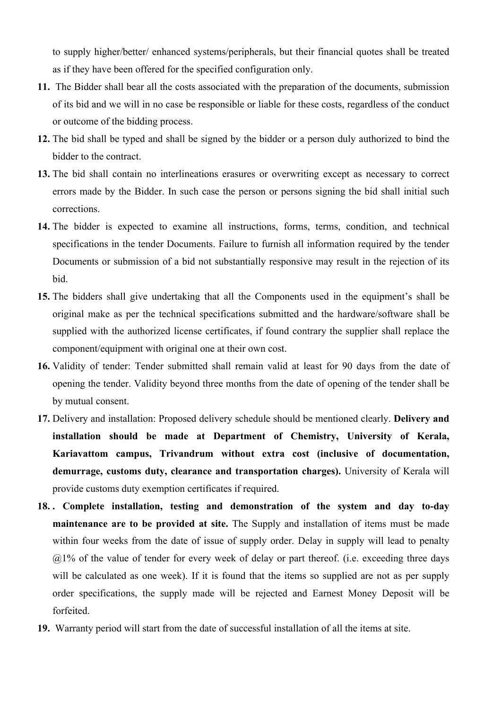to supply higher/better/ enhanced systems/peripherals, but their financial quotes shall be treated as if they have been offered for the specified configuration only.

- **11.** The Bidder shall bear all the costs associated with the preparation of the documents, submission of its bid and we will in no case be responsible or liable for these costs, regardless of the conduct or outcome of the bidding process.
- **12.** The bid shall be typed and shall be signed by the bidder or a person duly authorized to bind the bidder to the contract.
- **13.** The bid shall contain no interlineations erasures or overwriting except as necessary to correct errors made by the Bidder. In such case the person or persons signing the bid shall initial such corrections.
- **14.** The bidder is expected to examine all instructions, forms, terms, condition, and technical specifications in the tender Documents. Failure to furnish all information required by the tender Documents or submission of a bid not substantially responsive may result in the rejection of its bid.
- **15.** The bidders shall give undertaking that all the Components used in the equipment's shall be original make as per the technical specifications submitted and the hardware/software shall be supplied with the authorized license certificates, if found contrary the supplier shall replace the component/equipment with original one at their own cost.
- **16.** Validity of tender: Tender submitted shall remain valid at least for 90 days from the date of opening the tender. Validity beyond three months from the date of opening of the tender shall be by mutual consent.
- **17.** Delivery and installation: Proposed delivery schedule should be mentioned clearly. **Delivery and installation should be made at Department of Chemistry, University of Kerala, Kariavattom campus, Trivandrum without extra cost (inclusive of documentation, demurrage, customs duty, clearance and transportation charges).** University of Kerala will provide customs duty exemption certificates if required.
- **18. . Complete installation, testing and demonstration of the system and day to-day maintenance are to be provided at site.** The Supply and installation of items must be made within four weeks from the date of issue of supply order. Delay in supply will lead to penalty  $(a)$ <sup>1%</sup> of the value of tender for every week of delay or part thereof. (i.e. exceeding three days will be calculated as one week). If it is found that the items so supplied are not as per supply order specifications, the supply made will be rejected and Earnest Money Deposit will be forfeited.
- **19.** Warranty period will start from the date of successful installation of all the items at site.